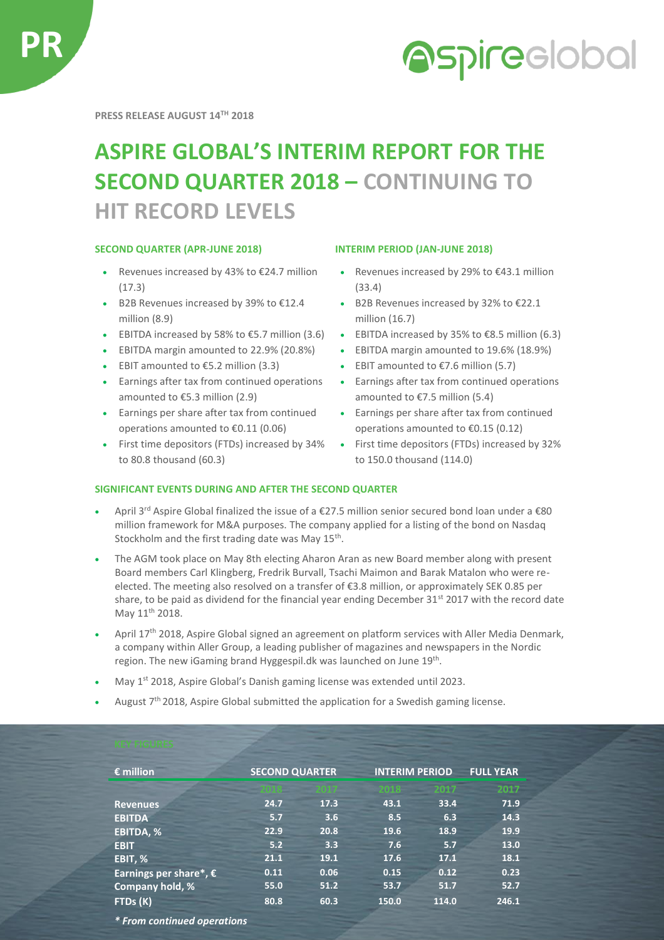

# **Aspireclobal**

**PRESS RELEASE AUGUST 14TH 2018**

## **ASPIRE GLOBAL'S INTERIM REPORT FOR THE SECOND QUARTER 2018 – CONTINUING TO HIT RECORD LEVELS**

#### **SECOND QUARTER (APR-JUNE 2018) INTERIM PERIOD (JAN-JUNE 2018)**

- Revenues increased by 43% to €24.7 million (17.3)
- B2B Revenues increased by 39% to €12.4 million (8.9)
- EBITDA increased by 58% to €5.7 million (3.6) EBITDA increased by 35% to €8.5 million (6.3)
- EBITDA margin amounted to 22.9% (20.8%) EBITDA margin amounted to 19.6% (18.9%)
- EBIT amounted to  $€5.2$  million (3.3) EBIT amounted to  $€7.6$  million (5.7)
- Earnings after tax from continued operations amounted to €5.3 million (2.9)
- Earnings per share after tax from continued operations amounted to €0.11 (0.06)
- First time depositors (FTDs) increased by 34% to 80.8 thousand (60.3)

- Revenues increased by 29% to €43.1 million (33.4)
- B2B Revenues increased by 32% to €22.1 million (16.7)
- 
- 
- 
- Earnings after tax from continued operations amounted to €7.5 million (5.4)
- Earnings per share after tax from continued operations amounted to €0.15 (0.12)
- First time depositors (FTDs) increased by 32% to 150.0 thousand (114.0)

### **SIGNIFICANT EVENTS DURING AND AFTER THE SECOND QUARTER**

- April 3rd Aspire Global finalized the issue of a €27.5 million senior secured bond loan under a €80 million framework for M&A purposes. The company applied for a listing of the bond on Nasdaq Stockholm and the first trading date was May 15<sup>th</sup>.
- The AGM took place on May 8th electing Aharon Aran as new Board member along with present Board members Carl Klingberg, Fredrik Burvall, Tsachi Maimon and Barak Matalon who were reelected. The meeting also resolved on a transfer of €3.8 million, or approximately SEK 0.85 per share, to be paid as dividend for the financial year ending December 31<sup>st</sup> 2017 with the record date May 11<sup>th</sup> 2018.
- April 17<sup>th</sup> 2018, Aspire Global signed an agreement on platform services with Aller Media Denmark, a company within Aller Group, a leading publisher of magazines and newspapers in the Nordic region. The new iGaming brand Hyggespil.dk was launched on June 19<sup>th</sup>.
- May 1<sup>st</sup> 2018, Aspire Global's Danish gaming license was extended until 2023.
- August 7<sup>th</sup> 2018, Aspire Global submitted the application for a Swedish gaming license.

| $\epsilon$ million              | <b>SECOND QUARTER</b> |      | <b>INTERIM PERIOD</b> |       | <b>FULL YEAR</b> |
|---------------------------------|-----------------------|------|-----------------------|-------|------------------|
|                                 |                       |      | 2018                  | 2017  | 2017             |
| <b>Revenues</b>                 | 24.7                  | 17.3 | 43.1                  | 33.4  | 71.9             |
| <b>EBITDA</b>                   | 5.7                   | 3.6  | 8.5                   | 6.3   | 14.3             |
| EBITDA, %                       | 22.9                  | 20.8 | 19.6                  | 18.9  | 19.9             |
| <b>EBIT</b>                     | 5.2                   | 3.3  | 7.6                   | 5.7   | 13.0             |
| EBIT, %                         | 21.1                  | 19.1 | 17.6                  | 17.1  | 18.1             |
| Earnings per share*, $\epsilon$ | 0.11                  | 0.06 | 0.15                  | 0.12  | 0.23             |
| Company hold, %                 | 55.0                  | 51.2 | 53.7                  | 51.7  | 52.7             |
| FTDs (K)                        | 80.8                  | 60.3 | 150.0                 | 114.0 | 246.1            |

*\* From continued operations*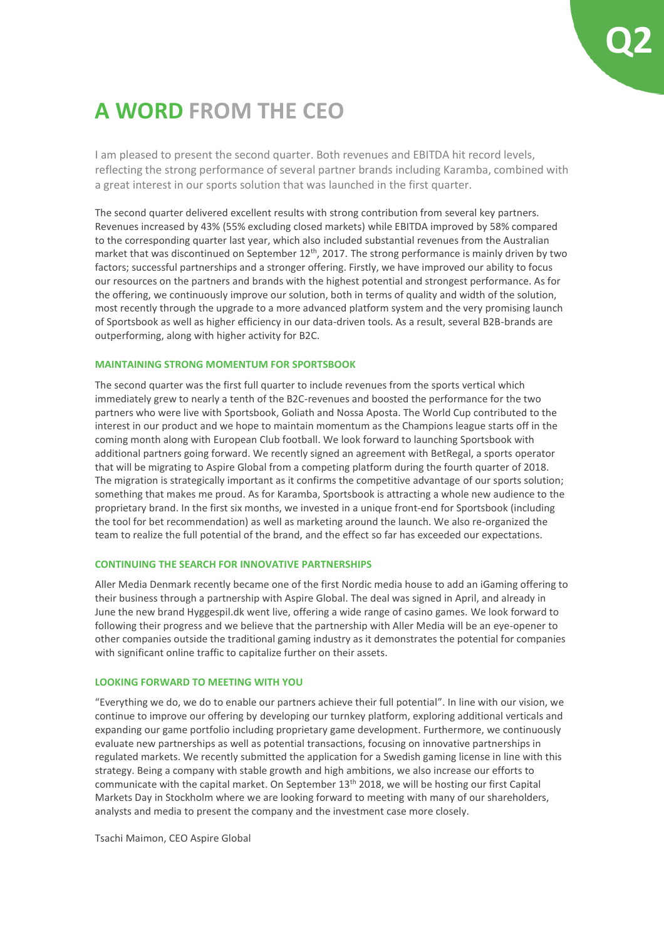## **A WORD FROM THE CEO**

I am pleased to present the second quarter. Both revenues and EBITDA hit record levels, reflecting the strong performance of several partner brands including Karamba, combined with a great interest in our sports solution that was launched in the first quarter.

The second quarter delivered excellent results with strong contribution from several key partners. Revenues increased by 43% (55% excluding closed markets) while EBITDA improved by 58% compared to the corresponding quarter last year, which also included substantial revenues from the Australian market that was discontinued on September  $12<sup>th</sup>$ , 2017. The strong performance is mainly driven by two factors; successful partnerships and a stronger offering. Firstly, we have improved our ability to focus our resources on the partners and brands with the highest potential and strongest performance. As for the offering, we continuously improve our solution, both in terms of quality and width of the solution, most recently through the upgrade to a more advanced platform system and the very promising launch of Sportsbook as well as higher efficiency in our data-driven tools. As a result, several B2B-brands are outperforming, along with higher activity for B2C.

### **MAINTAINING STRONG MOMENTUM FOR SPORTSBOOK**

The second quarter was the first full quarter to include revenues from the sports vertical which immediately grew to nearly a tenth of the B2C-revenues and boosted the performance for the two partners who were live with Sportsbook, Goliath and Nossa Aposta. The World Cup contributed to the interest in our product and we hope to maintain momentum as the Champions league starts off in the coming month along with European Club football. We look forward to launching Sportsbook with additional partners going forward. We recently signed an agreement with BetRegal, a sports operator that will be migrating to Aspire Global from a competing platform during the fourth quarter of 2018. The migration is strategically important as it confirms the competitive advantage of our sports solution; something that makes me proud. As for Karamba, Sportsbook is attracting a whole new audience to the proprietary brand. In the first six months, we invested in a unique front-end for Sportsbook (including the tool for bet recommendation) as well as marketing around the launch. We also re-organized the team to realize the full potential of the brand, and the effect so far has exceeded our expectations.

### **CONTINUING THE SEARCH FOR INNOVATIVE PARTNERSHIPS**

Aller Media Denmark recently became one of the first Nordic media house to add an iGaming offering to their business through a partnership with Aspire Global. The deal was signed in April, and already in June the new brand Hyggespil.dk went live, offering a wide range of casino games. We look forward to following their progress and we believe that the partnership with Aller Media will be an eye-opener to other companies outside the traditional gaming industry as it demonstrates the potential for companies with significant online traffic to capitalize further on their assets.

### **LOOKING FORWARD TO MEETING WITH YOU**

"Everything we do, we do to enable our partners achieve their full potential". In line with our vision, we continue to improve our offering by developing our turnkey platform, exploring additional verticals and expanding our game portfolio including proprietary game development. Furthermore, we continuously evaluate new partnerships as well as potential transactions, focusing on innovative partnerships in regulated markets. We recently submitted the application for a Swedish gaming license in line with this strategy. Being a company with stable growth and high ambitions, we also increase our efforts to communicate with the capital market. On September  $13<sup>th</sup>$  2018, we will be hosting our first Capital Markets Day in Stockholm where we are looking forward to meeting with many of our shareholders, analysts and media to present the company and the investment case more closely.

Tsachi Maimon, CEO Aspire Global